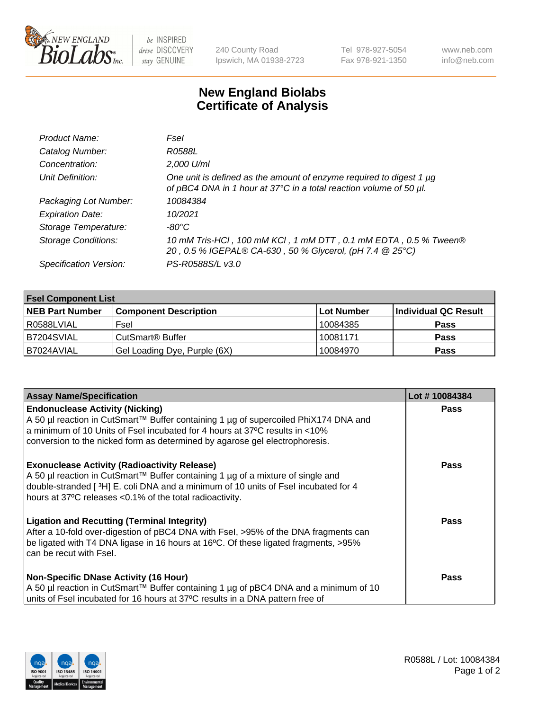

 $be$  INSPIRED drive DISCOVERY stay GENUINE

240 County Road Ipswich, MA 01938-2723 Tel 978-927-5054 Fax 978-921-1350 www.neb.com info@neb.com

## **New England Biolabs Certificate of Analysis**

| Product Name:              | Fsel                                                                                                                                      |
|----------------------------|-------------------------------------------------------------------------------------------------------------------------------------------|
| Catalog Number:            | R0588L                                                                                                                                    |
| Concentration:             | 2,000 U/ml                                                                                                                                |
| Unit Definition:           | One unit is defined as the amount of enzyme required to digest 1 µg<br>of pBC4 DNA in 1 hour at 37°C in a total reaction volume of 50 µl. |
| Packaging Lot Number:      | 10084384                                                                                                                                  |
| <b>Expiration Date:</b>    | 10/2021                                                                                                                                   |
| Storage Temperature:       | $-80^{\circ}$ C                                                                                                                           |
| <b>Storage Conditions:</b> | 10 mM Tris-HCl, 100 mM KCl, 1 mM DTT, 0.1 mM EDTA, 0.5 % Tween®<br>20, 0.5 % IGEPAL® CA-630, 50 % Glycerol, (pH 7.4 @ 25°C)               |
| Specification Version:     | PS-R0588S/L v3.0                                                                                                                          |

| <b>Fsel Component List</b> |                              |             |                      |  |  |
|----------------------------|------------------------------|-------------|----------------------|--|--|
| <b>NEB Part Number</b>     | <b>Component Description</b> | ∣Lot Number | Individual QC Result |  |  |
| R0588LVIAL                 | Fsel                         | 10084385    | <b>Pass</b>          |  |  |
| IB7204SVIAL                | CutSmart® Buffer             | 10081171    | <b>Pass</b>          |  |  |
| B7024AVIAL                 | Gel Loading Dye, Purple (6X) | 10084970    | <b>Pass</b>          |  |  |

| <b>Assay Name/Specification</b>                                                                                                                                    | Lot #10084384 |
|--------------------------------------------------------------------------------------------------------------------------------------------------------------------|---------------|
| <b>Endonuclease Activity (Nicking)</b>                                                                                                                             | <b>Pass</b>   |
| A 50 µl reaction in CutSmart™ Buffer containing 1 µg of supercoiled PhiX174 DNA and<br>a minimum of 10 Units of Fsel incubated for 4 hours at 37°C results in <10% |               |
| conversion to the nicked form as determined by agarose gel electrophoresis.                                                                                        |               |
|                                                                                                                                                                    |               |
| <b>Exonuclease Activity (Radioactivity Release)</b>                                                                                                                | <b>Pass</b>   |
| A 50 µl reaction in CutSmart™ Buffer containing 1 µg of a mixture of single and                                                                                    |               |
| double-stranded [3H] E. coli DNA and a minimum of 10 units of Fsel incubated for 4                                                                                 |               |
| hours at 37°C releases <0.1% of the total radioactivity.                                                                                                           |               |
| <b>Ligation and Recutting (Terminal Integrity)</b>                                                                                                                 | Pass          |
| After a 10-fold over-digestion of pBC4 DNA with Fsel, >95% of the DNA fragments can                                                                                |               |
| be ligated with T4 DNA ligase in 16 hours at 16°C. Of these ligated fragments, >95%                                                                                |               |
| can be recut with Fsel.                                                                                                                                            |               |
| <b>Non-Specific DNase Activity (16 Hour)</b>                                                                                                                       | <b>Pass</b>   |
| A 50 µl reaction in CutSmart™ Buffer containing 1 µg of pBC4 DNA and a minimum of 10                                                                               |               |
| units of Fsel incubated for 16 hours at 37°C results in a DNA pattern free of                                                                                      |               |